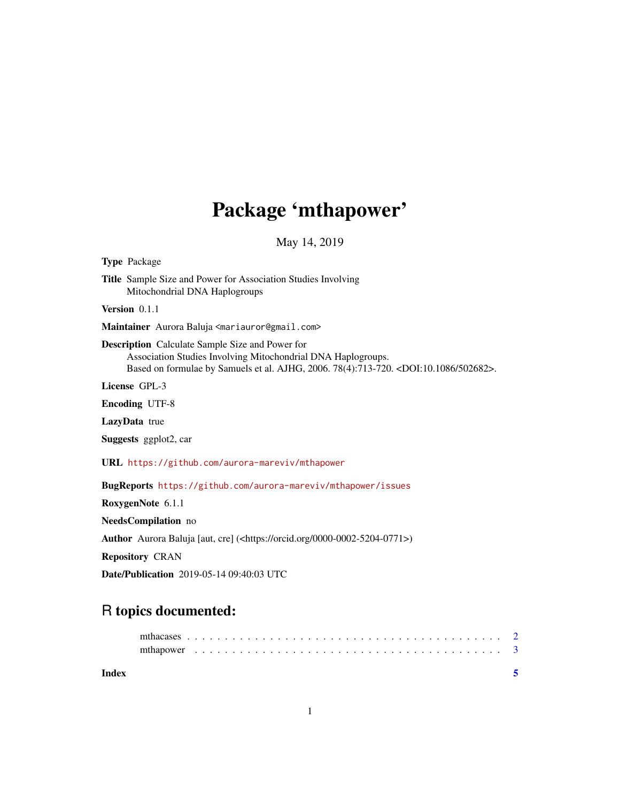## Package 'mthapower'

May 14, 2019

Type Package Title Sample Size and Power for Association Studies Involving Mitochondrial DNA Haplogroups Version 0.1.1 Maintainer Aurora Baluja <mariauror@gmail.com> Description Calculate Sample Size and Power for Association Studies Involving Mitochondrial DNA Haplogroups. Based on formulae by Samuels et al. AJHG, 2006. 78(4):713-720. <DOI:10.1086/502682>. License GPL-3 Encoding UTF-8 LazyData true Suggests ggplot2, car URL <https://github.com/aurora-mareviv/mthapower> BugReports <https://github.com/aurora-mareviv/mthapower/issues> RoxygenNote 6.1.1 NeedsCompilation no Author Aurora Baluja [aut, cre] (<https://orcid.org/0000-0002-5204-0771>) Repository CRAN Date/Publication 2019-05-14 09:40:03 UTC

### R topics documented:

| Index |  |  |  |  |  |  |  |  |  |  |  |  |  |  |  |  |  |  |  |  |  |
|-------|--|--|--|--|--|--|--|--|--|--|--|--|--|--|--|--|--|--|--|--|--|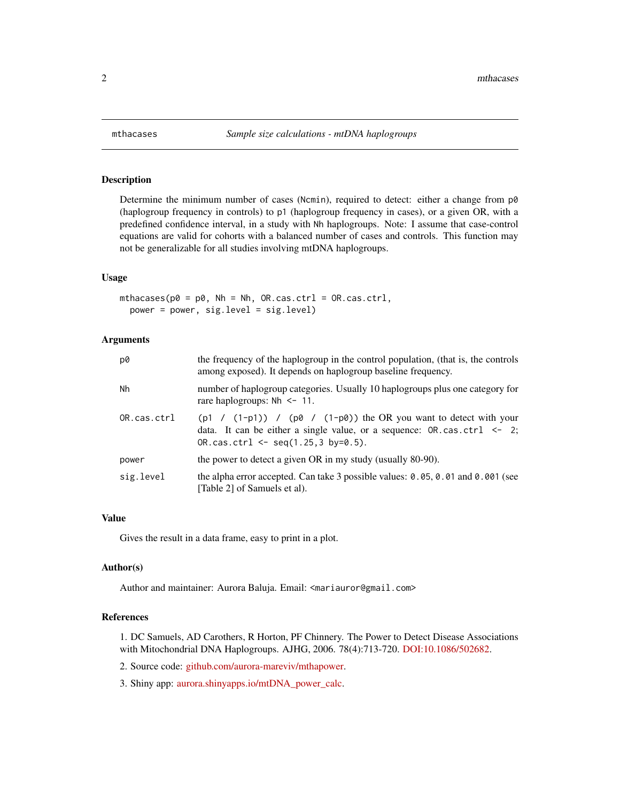<span id="page-1-0"></span>

#### Description

Determine the minimum number of cases (Ncmin), required to detect: either a change from  $p\ddot{\theta}$ (haplogroup frequency in controls) to p1 (haplogroup frequency in cases), or a given OR, with a predefined confidence interval, in a study with Nh haplogroups. Note: I assume that case-control equations are valid for cohorts with a balanced number of cases and controls. This function may not be generalizable for all studies involving mtDNA haplogroups.

#### Usage

```
mthacases(p0 = p0, Nh = Nh, OR.cas.ctrl = OR.cas.ctrl,
  power = power, sig.level = sig.level)
```
#### Arguments

| p0          | the frequency of the haplogroup in the control population, (that is, the controls<br>among exposed). It depends on haplogroup baseline frequency.                                                |
|-------------|--------------------------------------------------------------------------------------------------------------------------------------------------------------------------------------------------|
| Nh          | number of haplogroup categories. Usually 10 haplogroups plus one category for<br>rare haplogroups: $Nh \le -11$ .                                                                                |
| OR.cas.ctr1 | (p1 / $(1-p1)$ ) / (p0 / $(1-p0)$ ) the OR you want to detect with your<br>data. It can be either a single value, or a sequence: $OR.cas. ctr1 < -2$ ;<br>OR.cas.ctrl $\leq$ seq(1.25.3 by=0.5). |
| power       | the power to detect a given OR in my study (usually 80-90).                                                                                                                                      |
| sig.level   | the alpha error accepted. Can take 3 possible values: 0.05, 0.01 and 0.001 (see<br>[Table 2] of Samuels et al).                                                                                  |

#### Value

Gives the result in a data frame, easy to print in a plot.

#### Author(s)

Author and maintainer: Aurora Baluja. Email: <mariauror@gmail.com>

#### References

1. DC Samuels, AD Carothers, R Horton, PF Chinnery. The Power to Detect Disease Associations with Mitochondrial DNA Haplogroups. AJHG, 2006. 78(4):713-720. [DOI:10.1086/502682.](https://www.ncbi.nlm.nih.gov/pmc/PMC1424681)

2. Source code: [github.com/aurora-mareviv/mthapower.](https://github.com/aurora-mareviv/mthapower)

3. Shiny app: [aurora.shinyapps.io/mtDNA\\_power\\_calc.](https://aurora.shinyapps.io/mtDNA_power_calc)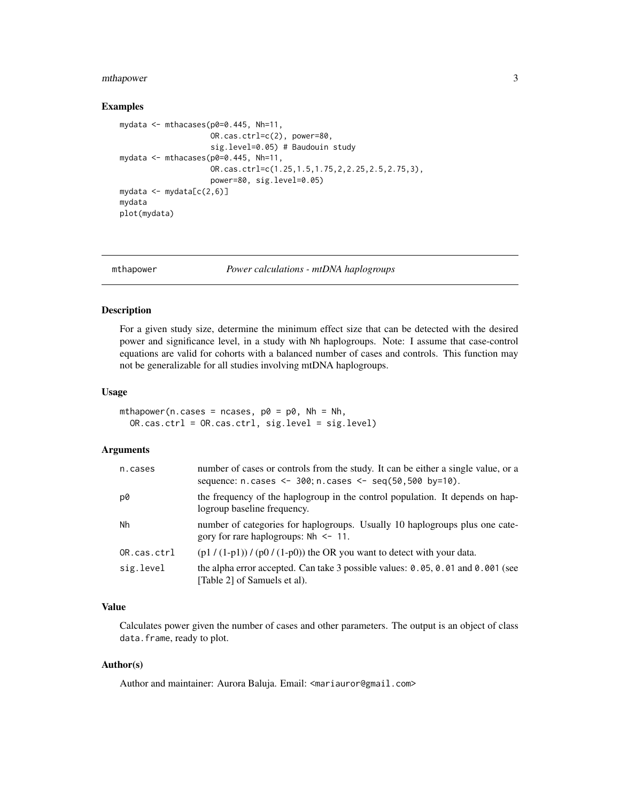#### <span id="page-2-0"></span>mthapower 3

#### Examples

```
mydata <- mthacases(p0=0.445, Nh=11,
                    OR.cas.ctrl=c(2), power=80,
                    sig.level=0.05) # Baudouin study
mydata \leq mthacases(p0=0.445, Nh=11,
                    OR.cas.ctrl=c(1.25,1.5,1.75,2,2.25,2.5,2.75,3),
                    power=80, sig.level=0.05)
mydata <- mydata[c(2,6)]
mydata
plot(mydata)
```
mthapower *Power calculations - mtDNA haplogroups*

#### Description

For a given study size, determine the minimum effect size that can be detected with the desired power and significance level, in a study with Nh haplogroups. Note: I assume that case-control equations are valid for cohorts with a balanced number of cases and controls. This function may not be generalizable for all studies involving mtDNA haplogroups.

#### Usage

```
mthapower(n.cases = ncases, p0 = p0, Nh = Nh,
 OR.cas.ctrl = OR.cas.ctrl, sig.level = sig.level)
```
#### Arguments

| n.cases     | number of cases or controls from the study. It can be either a single value, or a<br>sequence: n.cases <- 300; n.cases <- $seq(50, 500 \text{ by} = 10)$ . |
|-------------|------------------------------------------------------------------------------------------------------------------------------------------------------------|
| p0          | the frequency of the haplogroup in the control population. It depends on hap-<br>logroup baseline frequency.                                               |
| Nh          | number of categories for haplogroups. Usually 10 haplogroups plus one cate-<br>gory for rare haplogroups: $Nh \le -11$ .                                   |
| OR.cas.ctrl | $(p1 / (1-p1)) / (p0 / (1-p0))$ the OR you want to detect with your data.                                                                                  |
| sig.level   | the alpha error accepted. Can take 3 possible values: $0.05, 0.01$ and $0.001$ (see<br>[Table 2] of Samuels et al).                                        |

#### Value

Calculates power given the number of cases and other parameters. The output is an object of class data.frame, ready to plot.

#### Author(s)

Author and maintainer: Aurora Baluja. Email: <mariauror@gmail.com>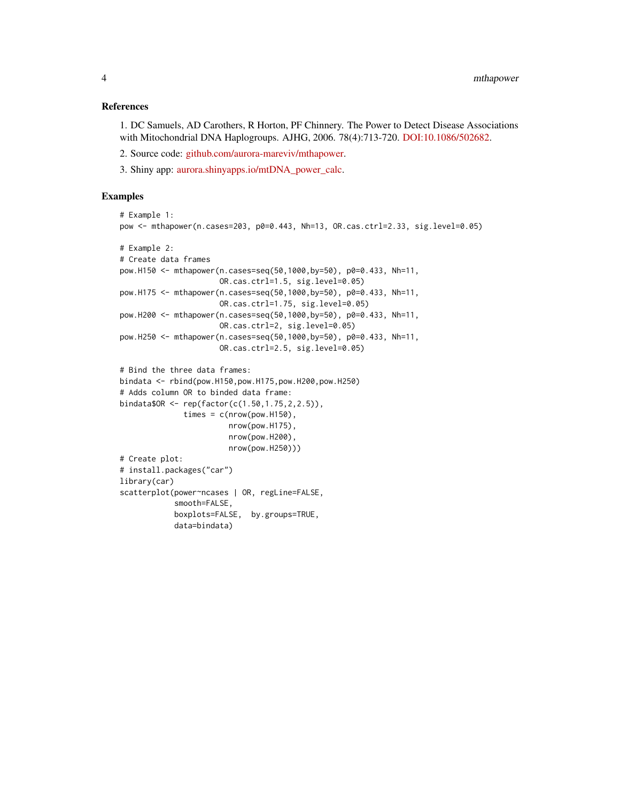#### References

1. DC Samuels, AD Carothers, R Horton, PF Chinnery. The Power to Detect Disease Associations with Mitochondrial DNA Haplogroups. AJHG, 2006. 78(4):713-720. [DOI:10.1086/502682.](https://www.ncbi.nlm.nih.gov/pmc/PMC1424681)

- 2. Source code: [github.com/aurora-mareviv/mthapower.](https://github.com/aurora-mareviv/mthapower)
- 3. Shiny app: [aurora.shinyapps.io/mtDNA\\_power\\_calc.](https://aurora.shinyapps.io/mtDNA_power_calc)

#### Examples

```
# Example 1:
pow <- mthapower(n.cases=203, p0=0.443, Nh=13, OR.cas.ctrl=2.33, sig.level=0.05)
# Example 2:
# Create data frames
pow.H150 <- mthapower(n.cases=seq(50,1000,by=50), p0=0.433, Nh=11,
                      OR.cas.ctrl=1.5, sig.level=0.05)
pow.H175 <- mthapower(n.cases=seq(50,1000,by=50), p0=0.433, Nh=11,
                      OR.cas.ctrl=1.75, sig.level=0.05)
pow.H200 <- mthapower(n.cases=seq(50,1000,by=50), p0=0.433, Nh=11,
                      OR.cas.ctrl=2, sig.level=0.05)
pow.H250 <- mthapower(n.cases=seq(50,1000,by=50), p0=0.433, Nh=11,
                      OR.cas.ctrl=2.5, sig.level=0.05)
# Bind the three data frames:
bindata <- rbind(pow.H150,pow.H175,pow.H200,pow.H250)
# Adds column OR to binded data frame:
bindata$OR <- rep(factor(c(1.50,1.75,2,2.5)),
              times = c(nrow(pow.H150),nrow(pow.H175),
                        nrow(pow.H200),
                        nrow(pow.H250)))
# Create plot:
# install.packages("car")
library(car)
scatterplot(power~ncases | OR, regLine=FALSE,
            smooth=FALSE,
            boxplots=FALSE, by.groups=TRUE,
            data=bindata)
```